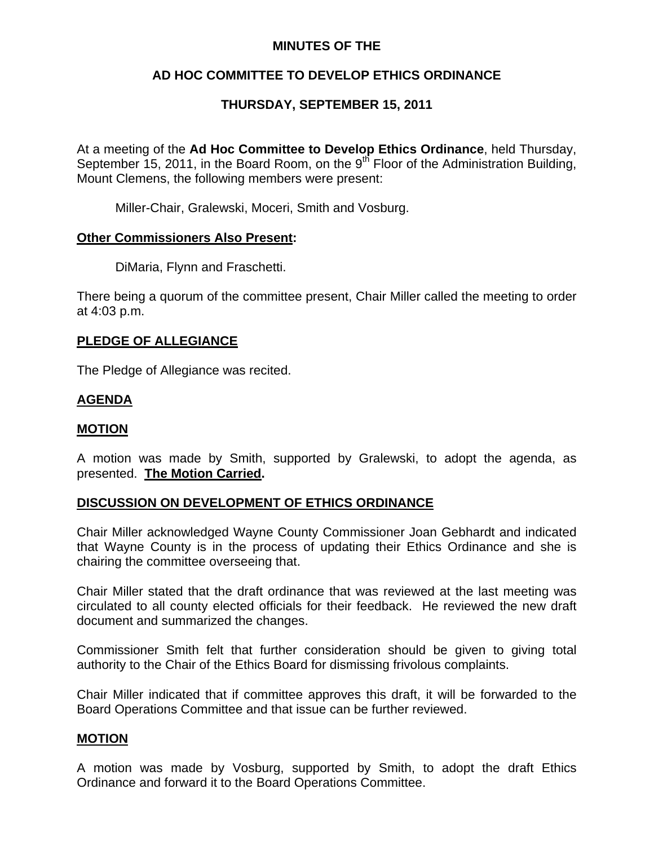## **MINUTES OF THE**

# **AD HOC COMMITTEE TO DEVELOP ETHICS ORDINANCE**

# **THURSDAY, SEPTEMBER 15, 2011**

At a meeting of the **Ad Hoc Committee to Develop Ethics Ordinance**, held Thursday, September 15, 2011, in the Board Room, on the  $9<sup>th</sup>$  Floor of the Administration Building, Mount Clemens, the following members were present:

Miller-Chair, Gralewski, Moceri, Smith and Vosburg.

### **Other Commissioners Also Present:**

DiMaria, Flynn and Fraschetti.

There being a quorum of the committee present, Chair Miller called the meeting to order at 4:03 p.m.

## **PLEDGE OF ALLEGIANCE**

The Pledge of Allegiance was recited.

### **AGENDA**

#### **MOTION**

A motion was made by Smith, supported by Gralewski, to adopt the agenda, as presented. **The Motion Carried.** 

## **DISCUSSION ON DEVELOPMENT OF ETHICS ORDINANCE**

Chair Miller acknowledged Wayne County Commissioner Joan Gebhardt and indicated that Wayne County is in the process of updating their Ethics Ordinance and she is chairing the committee overseeing that.

Chair Miller stated that the draft ordinance that was reviewed at the last meeting was circulated to all county elected officials for their feedback. He reviewed the new draft document and summarized the changes.

Commissioner Smith felt that further consideration should be given to giving total authority to the Chair of the Ethics Board for dismissing frivolous complaints.

Chair Miller indicated that if committee approves this draft, it will be forwarded to the Board Operations Committee and that issue can be further reviewed.

#### **MOTION**

A motion was made by Vosburg, supported by Smith, to adopt the draft Ethics Ordinance and forward it to the Board Operations Committee.